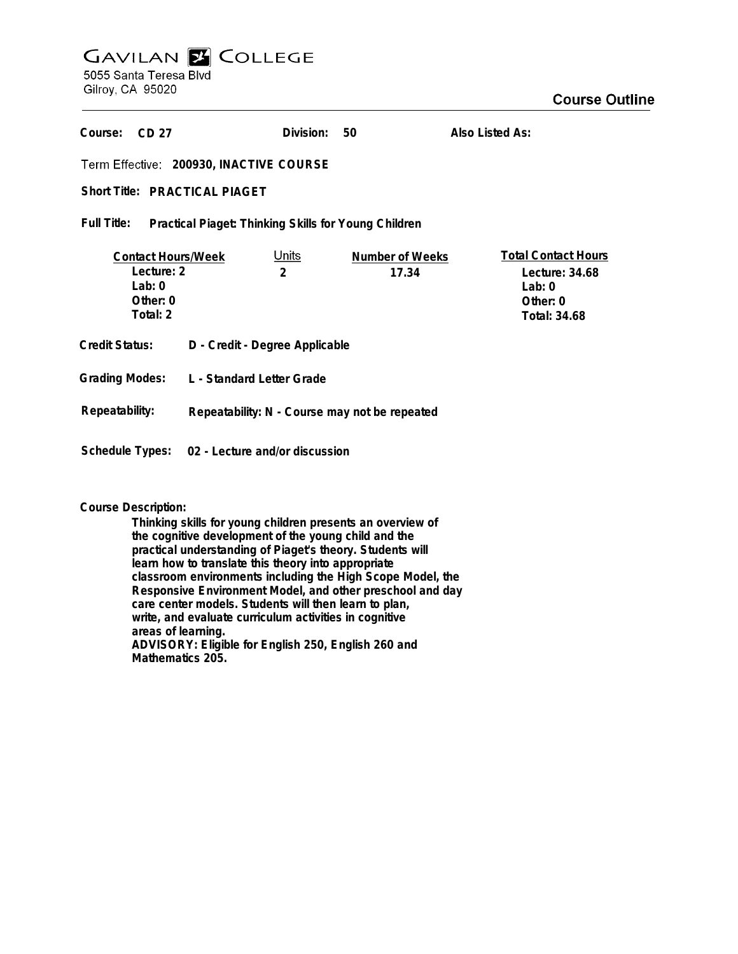# **GAVILAN E COLLEGE** 5055 Santa Teresa Blvd

**Also Listed As:**

Gilroy, CA 95020

| Course:<br>CD 27                                                            |                                                | Division:                     | 50                       | Also Listed As:                                                                             |
|-----------------------------------------------------------------------------|------------------------------------------------|-------------------------------|--------------------------|---------------------------------------------------------------------------------------------|
| Term Effective: 200930, INACTIVE COURSE                                     |                                                |                               |                          |                                                                                             |
| Short Title: PRACTICAL PIAGET                                               |                                                |                               |                          |                                                                                             |
| Full Title:<br>Practical Piaget: Thinking Skills for Young Children         |                                                |                               |                          |                                                                                             |
| <b>Contact Hours/Week</b><br>Lecture: 2<br>Lab: $0$<br>Other: 0<br>Total: 2 |                                                | <u>Units</u><br>$\mathcal{P}$ | Number of Weeks<br>17.34 | <b>Total Contact Hours</b><br>Lecture: 34.68<br>Lab: $0$<br>Other: 0<br><b>Total: 34.68</b> |
| Credit Status:                                                              | D - Credit - Degree Applicable                 |                               |                          |                                                                                             |
|                                                                             | Grading Modes: L - Standard Letter Grade       |                               |                          |                                                                                             |
| Repeatability:                                                              | Repeatability: N - Course may not be repeated  |                               |                          |                                                                                             |
|                                                                             | Schedule Types: 02 - Lecture and/or discussion |                               |                          |                                                                                             |

**Division:**

**50**

## **Course Description:**

**Thinking skills for young children presents an overview of the cognitive development of the young child and the practical understanding of Piaget's theory. Students will learn how to translate this theory into appropriate classroom environments including the High Scope Model, the Responsive Environment Model, and other preschool and day care center models. Students will then learn to plan, write, and evaluate curriculum activities in cognitive areas of learning. ADVISORY: Eligible for English 250, English 260 and Mathematics 205.**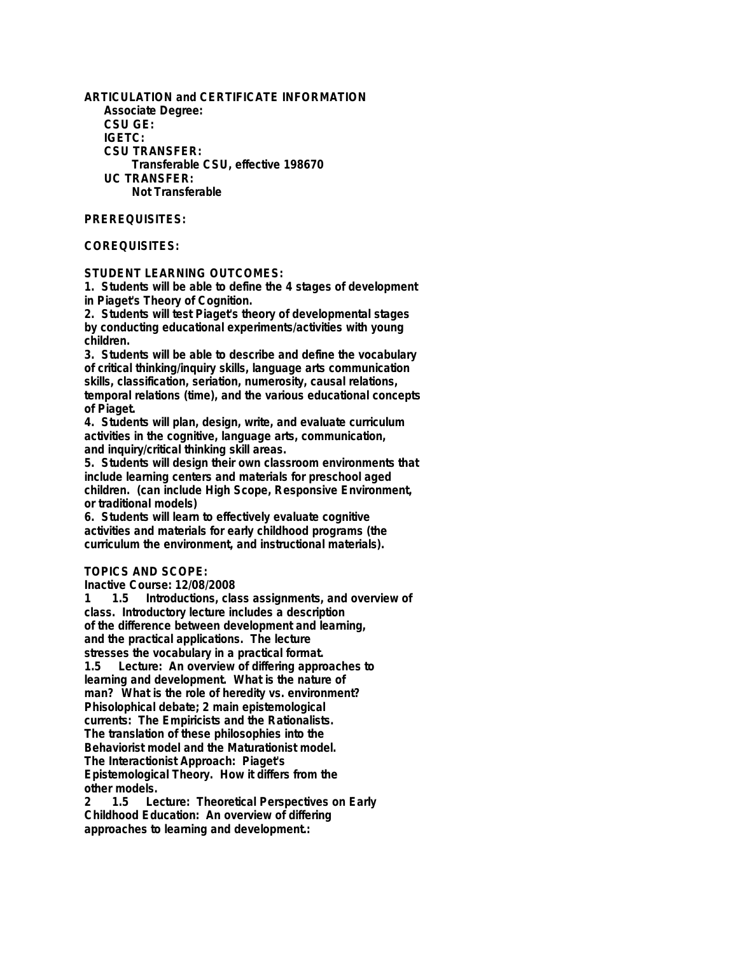**ARTICULATION and CERTIFICATE INFORMATION Associate Degree: CSU GE: IGETC: CSU TRANSFER: Transferable CSU, effective 198670 UC TRANSFER: Not Transferable**

#### **PREREQUISITES:**

#### **COREQUISITES:**

#### **STUDENT LEARNING OUTCOMES:**

**1. Students will be able to define the 4 stages of development in Piaget's Theory of Cognition.**

**2. Students will test Piaget's theory of developmental stages by conducting educational experiments/activities with young children.**

**3. Students will be able to describe and define the vocabulary of critical thinking/inquiry skills, language arts communication skills, classification, seriation, numerosity, causal relations, temporal relations (time), and the various educational concepts of Piaget.**

**4. Students will plan, design, write, and evaluate curriculum activities in the cognitive, language arts, communication, and inquiry/critical thinking skill areas.**

**5. Students will design their own classroom environments that include learning centers and materials for preschool aged children. (can include High Scope, Responsive Environment, or traditional models)**

**6. Students will learn to effectively evaluate cognitive activities and materials for early childhood programs (the curriculum the environment, and instructional materials).**

### **TOPICS AND SCOPE:**

**Inactive Course: 12/08/2008**

**1 1.5 Introductions, class assignments, and overview of class. Introductory lecture includes a description of the difference between development and learning, and the practical applications. The lecture stresses the vocabulary in a practical format. 1.5 Lecture: An overview of differing approaches to learning and development. What is the nature of man? What is the role of heredity vs. environment? Phisolophical debate; 2 main epistemological currents: The Empiricists and the Rationalists. The translation of these philosophies into the Behaviorist model and the Maturationist model. The Interactionist Approach: Piaget's Epistemological Theory. How it differs from the** other models.<br>2 1.5 Le

**2 1.5 Lecture: Theoretical Perspectives on Early Childhood Education: An overview of differing approaches to learning and development.:**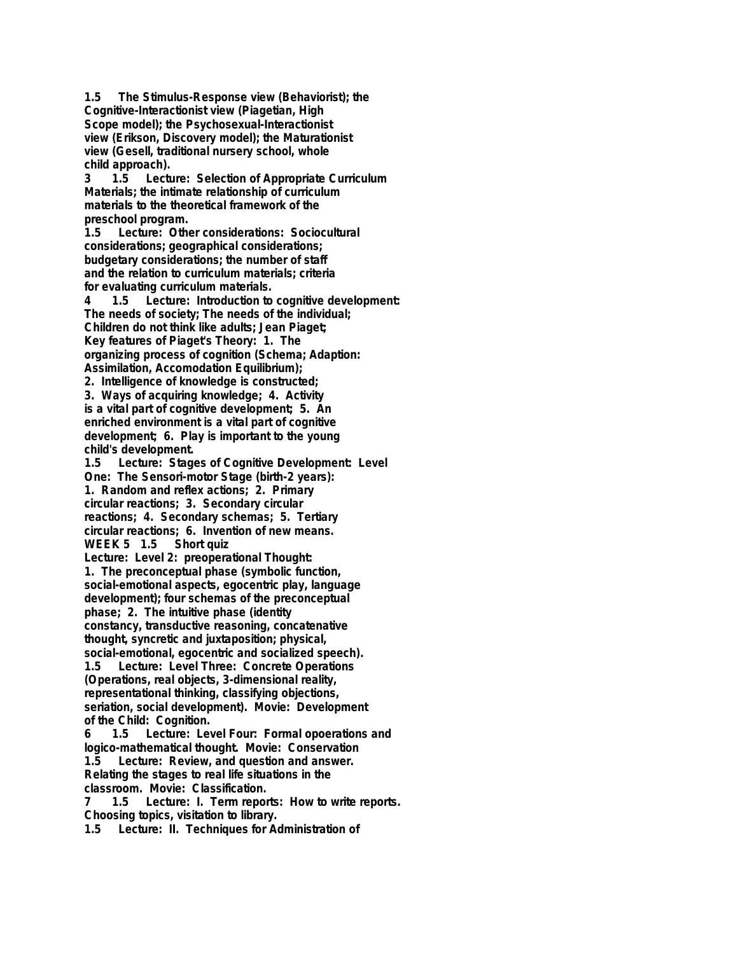**1.5 The Stimulus-Response view (Behaviorist); the Cognitive-Interactionist view (Piagetian, High Scope model); the Psychosexual-Interactionist view (Erikson, Discovery model); the Maturationist view (Gesell, traditional nursery school, whole** child approach).<br>3 1.5 Lectu

**3 1.5 Lecture: Selection of Appropriate Curriculum Materials; the intimate relationship of curriculum materials to the theoretical framework of the preschool program.**

**1.5 Lecture: Other considerations: Sociocultural considerations; geographical considerations; budgetary considerations; the number of staff and the relation to curriculum materials; criteria for evaluating curriculum materials.**

**4 1.5 Lecture: Introduction to cognitive development: The needs of society; The needs of the individual; Children do not think like adults; Jean Piaget; Key features of Piaget's Theory: 1. The organizing process of cognition (Schema; Adaption: Assimilation, Accomodation Equilibrium);**

**2. Intelligence of knowledge is constructed; 3. Ways of acquiring knowledge; 4. Activity is a vital part of cognitive development; 5. An enriched environment is a vital part of cognitive development; 6. Play is important to the young**

**child's development.** Lecture: Stages of Cognitive Development: Level **One: The Sensori-motor Stage (birth-2 years): 1. Random and reflex actions; 2. Primary circular reactions; 3. Secondary circular reactions; 4. Secondary schemas; 5. Tertiary circular reactions; 6. Invention of new means. WEEK 5 1.5 Short quiz**

**Lecture: Level 2: preoperational Thought: 1. The preconceptual phase (symbolic function, social-emotional aspects, egocentric play, language development); four schemas of the preconceptual phase; 2. The intuitive phase (identity constancy, transductive reasoning, concatenative thought, syncretic and juxtaposition; physical, social-emotional, egocentric and socialized speech).**

**1.5 Lecture: Level Three: Concrete Operations (Operations, real objects, 3-dimensional reality, representational thinking, classifying objections, seriation, social development). Movie: Development of the Child: Cognition.**

**6 1.5 Lecture: Level Four: Formal opoerations and logico-mathematical thought. Movie: Conservation 1.5 Lecture: Review, and question and answer. Relating the stages to real life situations in the classroom. Movie: Classification.**

**7 1.5 Lecture: I. Term reports: How to write reports. Choosing topics, visitation to library.**

**1.5 Lecture: II. Techniques for Administration of**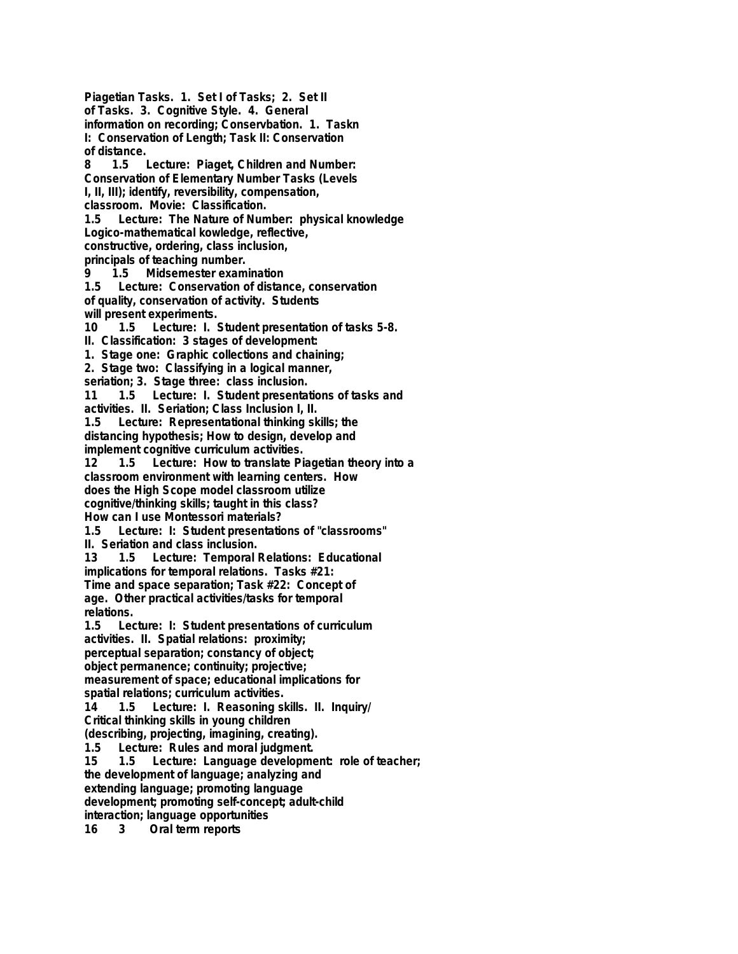**Piagetian Tasks. 1. Set I of Tasks; 2. Set II of Tasks. 3. Cognitive Style. 4. General information on recording; Conservbation. 1. Taskn I: Conservation of Length; Task II: Conservation of distance. 8 1.5 Lecture: Piaget, Children and Number: Conservation of Elementary Number Tasks (Levels I, II, III); identify, reversibility, compensation, classroom. Movie: Classification. 1.5 Lecture: The Nature of Number: physical knowledge Logico-mathematical kowledge, reflective, constructive, ordering, class inclusion, principals of teaching number. 9 1.5 Midsemester examination 1.5 Lecture: Conservation of distance, conservation of quality, conservation of activity. Students will present experiments. 10 1.5 Lecture: I. Student presentation of tasks 5-8. II. Classification: 3 stages of development: 1. Stage one: Graphic collections and chaining; 2. Stage two: Classifying in a logical manner, seriation; 3. Stage three: class inclusion. 11 1.5 Lecture: I. Student presentations of tasks and activities. II. Seriation; Class Inclusion I, II. 1.5 Lecture: Representational thinking skills; the distancing hypothesis; How to design, develop and implement cognitive curriculum activities. 12 1.5 Lecture: How to translate Piagetian theory into a classroom environment with learning centers. How does the High Scope model classroom utilize cognitive/thinking skills; taught in this class? How can I use Montessori materials? 1.5 Lecture: I: Student presentations of "classrooms" II. Seriation and class inclusion. 13 1.5 Lecture: Temporal Relations: Educational implications for temporal relations. Tasks #21: Time and space separation; Task #22: Concept of age. Other practical activities/tasks for temporal relations. 1.5 Lecture: I: Student presentations of curriculum activities. II. Spatial relations: proximity; perceptual separation; constancy of object; object permanence; continuity; projective; measurement of space; educational implications for spatial relations; curriculum activities. 14 1.5 Lecture: I. Reasoning skills. II. Inquiry/ Critical thinking skills in young children (describing, projecting, imagining, creating). 1.5 Lecture: Rules and moral judgment. 15 1.5 Lecture: Language development: role of teacher; the development of language; analyzing and extending language; promoting language development; promoting self-concept; adult-child interaction; language opportunities 16 3 Oral term reports**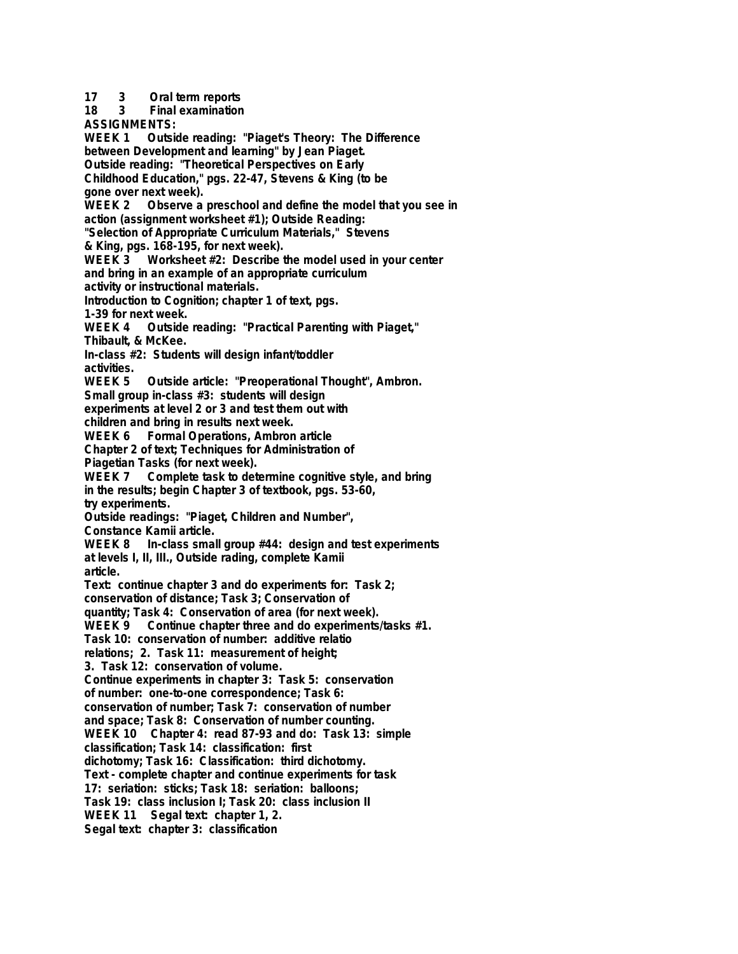**17 3 Oral term reports 18 3 Final examination ASSIGNMENTS: Outside reading: "Piaget's Theory: The Difference between Development and learning" by Jean Piaget. Outside reading: "Theoretical Perspectives on Early Childhood Education," pgs. 22-47, Stevens & King (to be gone over next week). WEEK 2 Observe a preschool and define the model that you see in action (assignment worksheet #1); Outside Reading: "Selection of Appropriate Curriculum Materials," Stevens & King, pgs. 168-195, for next week).** Worksheet #2: Describe the model used in your center **and bring in an example of an appropriate curriculum activity or instructional materials. Introduction to Cognition; chapter 1 of text, pgs. 1-39 for next week. WEEK 4 Outside reading: "Practical Parenting with Piaget," Thibault, & McKee. In-class #2: Students will design infant/toddler activities. WEEK 5 Outside article: "Preoperational Thought", Ambron. Small group in-class #3: students will design experiments at level 2 or 3 and test them out with children and bring in results next week. WEEK 6 Formal Operations, Ambron article Chapter 2 of text; Techniques for Administration of Piagetian Tasks (for next week). WEEK 7 Complete task to determine cognitive style, and bring in the results; begin Chapter 3 of textbook, pgs. 53-60, try experiments. Outside readings: "Piaget, Children and Number", Constance Kamii article. WEEK 8 In-class small group #44: design and test experiments at levels I, II, III., Outside rading, complete Kamii article. Text: continue chapter 3 and do experiments for: Task 2; conservation of distance; Task 3; Conservation of quantity; Task 4: Conservation of area (for next week). WEEK 9 Continue chapter three and do experiments/tasks #1. Task 10: conservation of number: additive relatio relations; 2. Task 11: measurement of height; 3. Task 12: conservation of volume. Continue experiments in chapter 3: Task 5: conservation of number: one-to-one correspondence; Task 6: conservation of number; Task 7: conservation of number and space; Task 8: Conservation of number counting. WEEK 10 Chapter 4: read 87-93 and do: Task 13: simple classification; Task 14: classification: first dichotomy; Task 16: Classification: third dichotomy. Text - complete chapter and continue experiments for task 17: seriation: sticks; Task 18: seriation: balloons; Task 19: class inclusion I; Task 20: class inclusion II WEEK 11 Segal text: chapter 1, 2. Segal text: chapter 3: classification**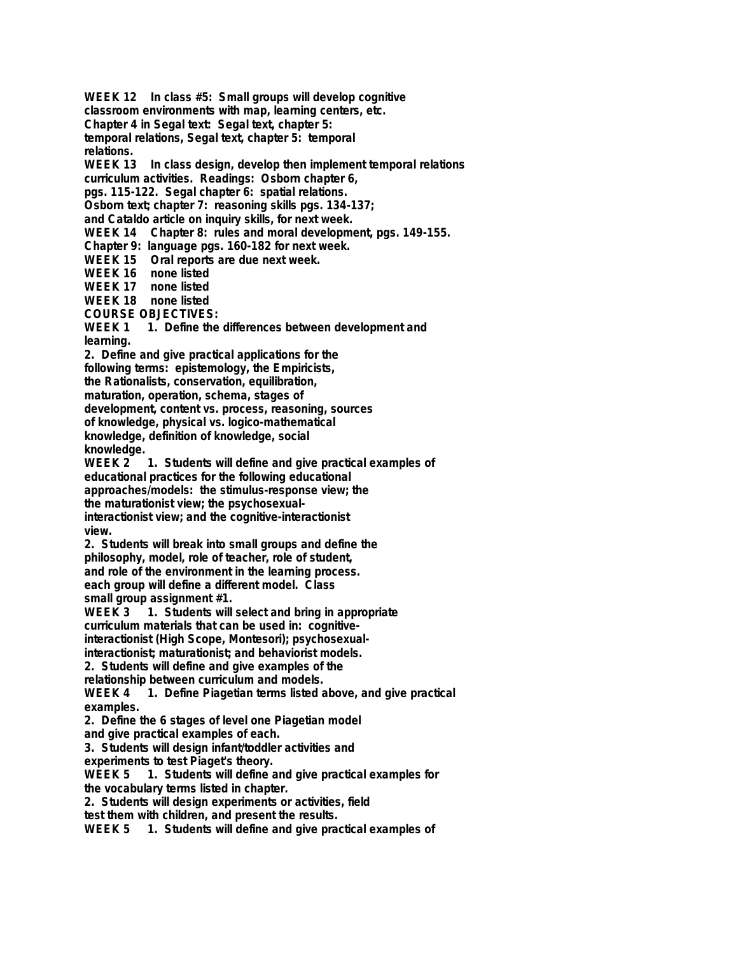**WEEK 12 In class #5: Small groups will develop cognitive classroom environments with map, learning centers, etc. Chapter 4 in Segal text: Segal text, chapter 5:**

**temporal relations, Segal text, chapter 5: temporal**

**relations.**

**WEEK 13 In class design, develop then implement temporal relations curriculum activities. Readings: Osborn chapter 6,**

**pgs. 115-122. Segal chapter 6: spatial relations.**

**Osborn text; chapter 7: reasoning skills pgs. 134-137;**

**and Cataldo article on inquiry skills, for next week.**

**WEEK 14 Chapter 8: rules and moral development, pgs. 149-155.**

**Chapter 9: language pgs. 160-182 for next week.**

**WEEK 15 Oral reports are due next week.**

**WEEK 16 none listed**

**WEEK 17 none listed**

**WEEK 18 none listed**

**COURSE OBJECTIVES:**

WEEK 1 1. Define the differences between development and **learning.**

**2. Define and give practical applications for the**

**following terms: epistemology, the Empiricists,**

**the Rationalists, conservation, equilibration,**

**maturation, operation, schema, stages of**

**development, content vs. process, reasoning, sources**

**of knowledge, physical vs. logico-mathematical**

**knowledge, definition of knowledge, social**

**knowledge.**

1. Students will define and give practical examples of **educational practices for the following educational approaches/models: the stimulus-response view; the the maturationist view; the psychosexualinteractionist view; and the cognitive-interactionist view.**

**2. Students will break into small groups and define the philosophy, model, role of teacher, role of student, and role of the environment in the learning process. each group will define a different model. Class**

**small group assignment #1.**

**WEEK 3 1. Students will select and bring in appropriate curriculum materials that can be used in: cognitiveinteractionist (High Scope, Montesori); psychosexualinteractionist; maturationist; and behaviorist models.**

**2. Students will define and give examples of the**

**relationship between curriculum and models.**

**WEEK 4 1. Define Piagetian terms listed above, and give practical examples.**

**2. Define the 6 stages of level one Piagetian model**

**and give practical examples of each.**

**3. Students will design infant/toddler activities and**

**experiments to test Piaget's theory.**

1. Students will define and give practical examples for **the vocabulary terms listed in chapter.**

**2. Students will design experiments or activities, field**

**test them with children, and present the results.**

**WEEK 5 1. Students will define and give practical examples of**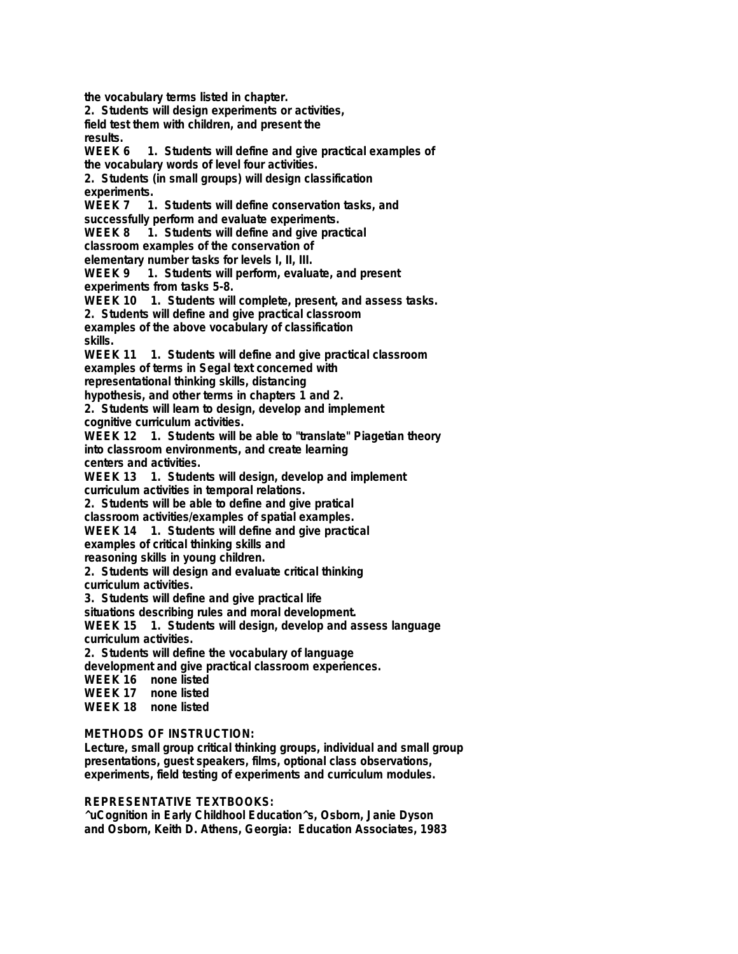**the vocabulary terms listed in chapter. 2. Students will design experiments or activities, field test them with children, and present the results.** 1. Students will define and give practical examples of **the vocabulary words of level four activities. 2. Students (in small groups) will design classification experiments.** 1. Students will define conservation tasks, and **successfully perform and evaluate experiments.** WEEK 8 1. Students will define and give practical **classroom examples of the conservation of elementary number tasks for levels I, II, III.** WEEK 9 1. Students will perform, evaluate, and present **experiments from tasks 5-8. WEEK 10 1. Students will complete, present, and assess tasks. 2. Students will define and give practical classroom examples of the above vocabulary of classification skills. WEEK 11 1. Students will define and give practical classroom examples of terms in Segal text concerned with representational thinking skills, distancing hypothesis, and other terms in chapters 1 and 2. 2. Students will learn to design, develop and implement cognitive curriculum activities. WEEK 12 1. Students will be able to "translate" Piagetian theory into classroom environments, and create learning centers and activities. WEEK 13 1. Students will design, develop and implement curriculum activities in temporal relations. 2. Students will be able to define and give pratical classroom activities/examples of spatial examples. WEEK 14 1. Students will define and give practical examples of critical thinking skills and reasoning skills in young children. 2. Students will design and evaluate critical thinking curriculum activities. 3. Students will define and give practical life situations describing rules and moral development. WEEK 15 1. Students will design, develop and assess language curriculum activities. 2. Students will define the vocabulary of language development and give practical classroom experiences. WEEK 16 none listed WEEK 17 none listed WEEK 18 none listed METHODS OF INSTRUCTION:**

**Lecture, small group critical thinking groups, individual and small group presentations, guest speakers, films, optional class observations, experiments, field testing of experiments and curriculum modules.**

#### **REPRESENTATIVE TEXTBOOKS:**

**^uCognition in Early Childhool Education^s, Osborn, Janie Dyson and Osborn, Keith D. Athens, Georgia: Education Associates, 1983**